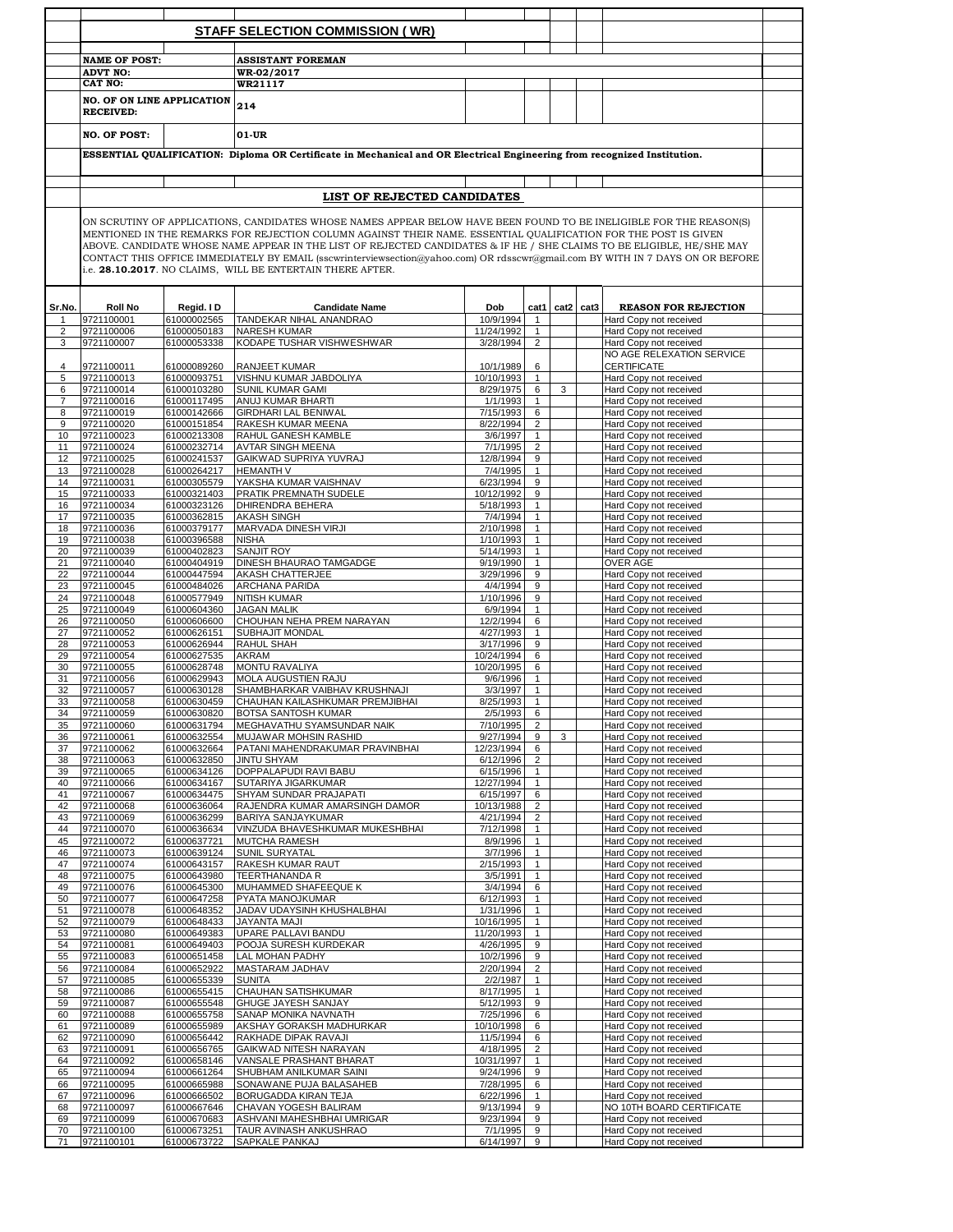|                |                                                       |                            | <b>STAFF SELECTION COMMISSION (WR)</b>                                                                                                                                                                                                                                                                                                                                                                                                                                                                                                                          |                         |                                |                |                                                       |
|----------------|-------------------------------------------------------|----------------------------|-----------------------------------------------------------------------------------------------------------------------------------------------------------------------------------------------------------------------------------------------------------------------------------------------------------------------------------------------------------------------------------------------------------------------------------------------------------------------------------------------------------------------------------------------------------------|-------------------------|--------------------------------|----------------|-------------------------------------------------------|
|                |                                                       |                            |                                                                                                                                                                                                                                                                                                                                                                                                                                                                                                                                                                 |                         |                                |                |                                                       |
|                | <b>NAME OF POST:</b><br><b>ADVT NO:</b>               |                            | <b>ASSISTANT FOREMAN</b><br>WR-02/2017                                                                                                                                                                                                                                                                                                                                                                                                                                                                                                                          |                         |                                |                |                                                       |
|                | CAT NO:                                               |                            | <b>WR21117</b>                                                                                                                                                                                                                                                                                                                                                                                                                                                                                                                                                  |                         |                                |                |                                                       |
|                | <b>NO. OF ON LINE APPLICATION</b><br><b>RECEIVED:</b> |                            | 214                                                                                                                                                                                                                                                                                                                                                                                                                                                                                                                                                             |                         |                                |                |                                                       |
|                | <b>NO. OF POST:</b>                                   |                            | 01-UR                                                                                                                                                                                                                                                                                                                                                                                                                                                                                                                                                           |                         |                                |                |                                                       |
|                |                                                       |                            | ESSENTIAL QUALIFICATION: Diploma OR Certificate in Mechanical and OR Electrical Engineering from recognized Institution.                                                                                                                                                                                                                                                                                                                                                                                                                                        |                         |                                |                |                                                       |
|                |                                                       |                            |                                                                                                                                                                                                                                                                                                                                                                                                                                                                                                                                                                 |                         |                                |                |                                                       |
|                |                                                       |                            |                                                                                                                                                                                                                                                                                                                                                                                                                                                                                                                                                                 |                         |                                |                |                                                       |
|                |                                                       |                            | LIST OF REJECTED CANDIDATES                                                                                                                                                                                                                                                                                                                                                                                                                                                                                                                                     |                         |                                |                |                                                       |
|                |                                                       |                            | ON SCRUTINY OF APPLICATIONS, CANDIDATES WHOSE NAMES APPEAR BELOW HAVE BEEN FOUND TO BE INELIGIBLE FOR THE REASON(S)<br>MENTIONED IN THE REMARKS FOR REJECTION COLUMN AGAINST THEIR NAME. ESSENTIAL QUALIFICATION FOR THE POST IS GIVEN<br>ABOVE. CANDIDATE WHOSE NAME APPEAR IN THE LIST OF REJECTED CANDIDATES & IF HE / SHE CLAIMS TO BE ELIGIBLE, HE/SHE MAY<br>CONTACT THIS OFFICE IMMEDIATELY BY EMAIL (sscwrinterviewsection@yahoo.com) OR rdsscwr@gmail.com BY WITH IN 7 DAYS ON OR BEFORE<br>i.e. 28.10.2017. NO CLAIMS, WILL BE ENTERTAIN THERE AFTER. |                         |                                |                |                                                       |
|                | <b>Roll No</b>                                        |                            |                                                                                                                                                                                                                                                                                                                                                                                                                                                                                                                                                                 | Dob                     |                                | cat1 cat2 cat3 |                                                       |
| Sr.No.         | 9721100001                                            | Regid. I D<br>61000002565  | <b>Candidate Name</b><br>TANDEKAR NIHAL ANANDRAO                                                                                                                                                                                                                                                                                                                                                                                                                                                                                                                | 10/9/1994               | $\mathbf{1}$                   |                | <b>REASON FOR REJECTION</b><br>Hard Copy not received |
| $\overline{2}$ | 9721100006                                            | 61000050183                | NARESH KUMAR                                                                                                                                                                                                                                                                                                                                                                                                                                                                                                                                                    | 11/24/1992              | $\mathbf{1}$                   |                | Hard Copy not received                                |
| 3              | 9721100007                                            | 61000053338                | KODAPE TUSHAR VISHWESHWAR                                                                                                                                                                                                                                                                                                                                                                                                                                                                                                                                       | 3/28/1994               | $\overline{2}$                 |                | Hard Copy not received                                |
| 4              | 9721100011                                            | 61000089260                | <b>RANJEET KUMAR</b>                                                                                                                                                                                                                                                                                                                                                                                                                                                                                                                                            | 10/1/1989               | 6                              |                | NO AGE RELEXATION SERVICE<br><b>CERTIFICATE</b>       |
| 5              | 9721100013                                            | 61000093751                | VISHNU KUMAR JABDOLIYA                                                                                                                                                                                                                                                                                                                                                                                                                                                                                                                                          | 10/10/1993              | $\mathbf{1}$                   |                | Hard Copy not received                                |
| 6              | 9721100014                                            | 61000103280                | <b>SUNIL KUMAR GAMI</b>                                                                                                                                                                                                                                                                                                                                                                                                                                                                                                                                         | 8/29/1975               | 6                              | 3              | Hard Copy not received                                |
| 7              | 9721100016                                            | 61000117495                | ANUJ KUMAR BHARTI                                                                                                                                                                                                                                                                                                                                                                                                                                                                                                                                               | 1/1/1993                | $\mathbf{1}$                   |                | Hard Copy not received                                |
| 8<br>9         | 9721100019<br>9721100020                              | 61000142666<br>61000151854 | <b>GIRDHARI LAL BENIWAL</b><br>RAKESH KUMAR MEENA                                                                                                                                                                                                                                                                                                                                                                                                                                                                                                               | 7/15/1993<br>8/22/1994  | 6<br>$\overline{2}$            |                | Hard Copy not received<br>Hard Copy not received      |
| 10             | 9721100023                                            | 61000213308                | RAHUL GANESH KAMBLE                                                                                                                                                                                                                                                                                                                                                                                                                                                                                                                                             | 3/6/1997                | $\mathbf{1}$                   |                | Hard Copy not received                                |
| 11             | 9721100024                                            | 61000232714                | <b>AVTAR SINGH MEENA</b>                                                                                                                                                                                                                                                                                                                                                                                                                                                                                                                                        | 7/1/1995                | $\overline{2}$                 |                | Hard Copy not received                                |
| 12             | 9721100025                                            | 61000241537                | GAIKWAD SUPRIYA YUVRAJ                                                                                                                                                                                                                                                                                                                                                                                                                                                                                                                                          | 12/8/1994               | 9                              |                | Hard Copy not received                                |
| 13             | 9721100028                                            | 61000264217                | <b>HEMANTH V</b>                                                                                                                                                                                                                                                                                                                                                                                                                                                                                                                                                | 7/4/1995                | $\mathbf{1}$<br>9              |                | Hard Copy not received                                |
| 14<br>15       | 9721100031<br>9721100033                              | 61000305579<br>61000321403 | YAKSHA KUMAR VAISHNAV<br>PRATIK PREMNATH SUDELE                                                                                                                                                                                                                                                                                                                                                                                                                                                                                                                 | 6/23/1994<br>10/12/1992 | 9                              |                | Hard Copy not received<br>Hard Copy not received      |
| 16             | 9721100034                                            | 61000323126                | <b>DHIRENDRA BEHERA</b>                                                                                                                                                                                                                                                                                                                                                                                                                                                                                                                                         | 5/18/1993               | $\mathbf{1}$                   |                | Hard Copy not received                                |
| 17             | 9721100035                                            | 61000362815                | <b>AKASH SINGH</b>                                                                                                                                                                                                                                                                                                                                                                                                                                                                                                                                              | 7/4/1994                | $\mathbf{1}$                   |                | Hard Copy not received                                |
| 18             | 9721100036                                            | 61000379177                | MARVADA DINESH VIRJI                                                                                                                                                                                                                                                                                                                                                                                                                                                                                                                                            | 2/10/1998               | $\mathbf{1}$                   |                | Hard Copy not received                                |
| 19             | 9721100038                                            | 61000396588                | <b>NISHA</b>                                                                                                                                                                                                                                                                                                                                                                                                                                                                                                                                                    | 1/10/1993               | $\mathbf{1}$                   |                | Hard Copy not received                                |
| 20<br>21       | 9721100039<br>9721100040                              | 61000402823<br>61000404919 | <b>SANJIT ROY</b><br><b>DINESH BHAURAO TAMGADGE</b>                                                                                                                                                                                                                                                                                                                                                                                                                                                                                                             | 5/14/1993<br>9/19/1990  | $\mathbf{1}$<br>$\mathbf{1}$   |                | Hard Copy not received<br><b>OVER AGE</b>             |
| 22             | 9721100044                                            | 61000447594                | AKASH CHATTERJEE                                                                                                                                                                                                                                                                                                                                                                                                                                                                                                                                                | 3/29/1996               | 9                              |                | Hard Copy not received                                |
| 23             | 9721100045                                            | 61000484026                | <b>ARCHANA PARIDA</b>                                                                                                                                                                                                                                                                                                                                                                                                                                                                                                                                           | 4/4/1994                | 9                              |                | Hard Copy not received                                |
| 24             | 9721100048                                            | 61000577949                | <b>NITISH KUMAR</b>                                                                                                                                                                                                                                                                                                                                                                                                                                                                                                                                             | 1/10/1996               | 9                              |                | Hard Copy not received                                |
| 25             | 9721100049                                            | 61000604360                | <b>JAGAN MALIK</b>                                                                                                                                                                                                                                                                                                                                                                                                                                                                                                                                              | 6/9/1994                | $\mathbf{1}$                   |                | Hard Copy not received                                |
| 26<br>27       | 9721100050<br>9721100052                              | 61000606600<br>61000626151 | CHOUHAN NEHA PREM NARAYAN<br><b>SUBHAJIT MONDAL</b>                                                                                                                                                                                                                                                                                                                                                                                                                                                                                                             | 12/2/1994<br>4/27/1993  | 6<br>$\mathbf{1}$              |                | Hard Copy not received<br>Hard Copy not received      |
| 28             | 9721100053                                            | 61000626944                | <b>RAHUL SHAH</b>                                                                                                                                                                                                                                                                                                                                                                                                                                                                                                                                               | 3/17/1996               | 9                              |                | Hard Copy not received                                |
| 29             | 9721100054                                            | 61000627535                | <b>AKRAM</b>                                                                                                                                                                                                                                                                                                                                                                                                                                                                                                                                                    | 10/24/1994              | 6                              |                | Hard Copy not received                                |
| 30             | 9721100055                                            | 61000628748                | <b>MONTU RAVALIYA</b>                                                                                                                                                                                                                                                                                                                                                                                                                                                                                                                                           | 10/20/1995              | 6                              |                | Hard Copy not received                                |
| 31<br>32       | 9721100056<br>9721100057                              | 61000629943<br>61000630128 | MOLA AUGUSTIEN RAJU<br>SHAMBHARKAR VAIBHAV KRUSHNAJI                                                                                                                                                                                                                                                                                                                                                                                                                                                                                                            | 9/6/1996<br>3/3/1997    | $\mathbf{1}$<br>$\mathbf{1}$   |                | Hard Copy not received<br>Hard Copy not received      |
| 33             | 9721100058                                            | 61000630459                | CHAUHAN KAILASHKUMAR PREMJIBHAI                                                                                                                                                                                                                                                                                                                                                                                                                                                                                                                                 | 8/25/1993               | $\mathbf{1}$                   |                | Hard Copy not received                                |
| 34             | 9721100059                                            | 61000630820                | <b>BOTSA SANTOSH KUMAR</b>                                                                                                                                                                                                                                                                                                                                                                                                                                                                                                                                      | 2/5/1993                | 6                              |                | Hard Copy not received                                |
| 35             | 9721100060                                            | 61000631794                | MEGHAVATHU SYAMSUNDAR NAIK                                                                                                                                                                                                                                                                                                                                                                                                                                                                                                                                      | 7/10/1995               | $\overline{2}$                 |                | Hard Copy not received                                |
| 36             | 9721100061                                            | 61000632554                | MUJAWAR MOHSIN RASHID                                                                                                                                                                                                                                                                                                                                                                                                                                                                                                                                           | 9/27/1994               | 9                              | 3              | Hard Copy not received                                |
| 37<br>38       | 9721100062<br>9721100063                              | 61000632664<br>61000632850 | PATANI MAHENDRAKUMAR PRAVINBHAI<br><b>JINTU SHYAM</b>                                                                                                                                                                                                                                                                                                                                                                                                                                                                                                           | 12/23/1994<br>6/12/1996 | 6<br>$\overline{2}$            |                | Hard Copy not received<br>Hard Copy not received      |
| 39             | 9721100065                                            | 61000634126                | DOPPALAPUDI RAVI BABU                                                                                                                                                                                                                                                                                                                                                                                                                                                                                                                                           | 6/15/1996               | $\mathbf{1}$                   |                | Hard Copy not received                                |
| 40             | 9721100066                                            | 61000634167                | SUTARIYA JIGARKUMAR                                                                                                                                                                                                                                                                                                                                                                                                                                                                                                                                             | 12/27/1994              | $\mathbf{1}$                   |                | Hard Copy not received                                |
| 41             | 9721100067                                            | 61000634475                | SHYAM SUNDAR PRAJAPATI                                                                                                                                                                                                                                                                                                                                                                                                                                                                                                                                          | 6/15/1997               | 6                              |                | Hard Copy not received                                |
| 42             | 9721100068                                            | 61000636064                | RAJENDRA KUMAR AMARSINGH DAMOR                                                                                                                                                                                                                                                                                                                                                                                                                                                                                                                                  | 10/13/1988              | $\overline{2}$                 |                | Hard Copy not received                                |
| 43<br>44       | 9721100069<br>9721100070                              | 61000636299<br>61000636634 | <b>BARIYA SANJAYKUMAR</b><br>VINZUDA BHAVESHKUMAR MUKESHBHAI                                                                                                                                                                                                                                                                                                                                                                                                                                                                                                    | 4/21/1994<br>7/12/1998  | $\overline{2}$<br>$\mathbf{1}$ |                | Hard Copy not received<br>Hard Copy not received      |
| 45             | 9721100072                                            | 61000637721                | MUTCHA RAMESH                                                                                                                                                                                                                                                                                                                                                                                                                                                                                                                                                   | 8/9/1996                | $\mathbf{1}$                   |                | Hard Copy not received                                |
| 46             | 9721100073                                            | 61000639124                | <b>SUNIL SURYATAL</b>                                                                                                                                                                                                                                                                                                                                                                                                                                                                                                                                           | 3/7/1996                | $\mathbf{1}$                   |                | Hard Copy not received                                |
| 47             | 9721100074                                            | 61000643157                | RAKESH KUMAR RAUT                                                                                                                                                                                                                                                                                                                                                                                                                                                                                                                                               | 2/15/1993               | $\mathbf{1}$                   |                | Hard Copy not received                                |
| 48<br>49       | 9721100075<br>9721100076                              | 61000643980<br>61000645300 | TEERTHANANDA R<br>MUHAMMED SHAFEEQUE K                                                                                                                                                                                                                                                                                                                                                                                                                                                                                                                          | 3/5/1991<br>3/4/1994    | $\mathbf{1}$<br>6              |                | Hard Copy not received<br>Hard Copy not received      |
| 50             | 9721100077                                            | 61000647258                | PYATA MANOJKUMAR                                                                                                                                                                                                                                                                                                                                                                                                                                                                                                                                                | 6/12/1993               | $\mathbf{1}$                   |                | Hard Copy not received                                |
| 51             | 9721100078                                            | 61000648352                | JADAV UDAYSINH KHUSHALBHAI                                                                                                                                                                                                                                                                                                                                                                                                                                                                                                                                      | 1/31/1996               | $\mathbf{1}$                   |                | Hard Copy not received                                |
| 52             | 9721100079                                            | 61000648433                | <b>JAYANTA MAJI</b>                                                                                                                                                                                                                                                                                                                                                                                                                                                                                                                                             | 10/16/1995              | $\mathbf{1}$                   |                | Hard Copy not received                                |
| 53             | 9721100080                                            | 61000649383                | UPARE PALLAVI BANDU                                                                                                                                                                                                                                                                                                                                                                                                                                                                                                                                             | 11/20/1993              | $\mathbf{1}$                   |                | Hard Copy not received                                |
| 54<br>55       | 9721100081<br>9721100083                              | 61000649403<br>61000651458 | POOJA SURESH KURDEKAR<br>LAL MOHAN PADHY                                                                                                                                                                                                                                                                                                                                                                                                                                                                                                                        | 4/26/1995<br>10/2/1996  | 9<br>9                         |                | Hard Copy not received<br>Hard Copy not received      |
| 56             | 9721100084                                            | 61000652922                | MASTARAM JADHAV                                                                                                                                                                                                                                                                                                                                                                                                                                                                                                                                                 | 2/20/1994               | $\overline{2}$                 |                | Hard Copy not received                                |
| 57             | 9721100085                                            | 61000655339                | <b>SUNITA</b>                                                                                                                                                                                                                                                                                                                                                                                                                                                                                                                                                   | 2/2/1987                | $\mathbf{1}$                   |                | Hard Copy not received                                |
| 58             | 9721100086                                            | 61000655415                | CHAUHAN SATISHKUMAR                                                                                                                                                                                                                                                                                                                                                                                                                                                                                                                                             | 8/17/1995               | $\mathbf{1}$                   |                | Hard Copy not received                                |
| 59<br>60       | 9721100087<br>9721100088                              | 61000655548<br>61000655758 | GHUGE JAYESH SANJAY<br>SANAP MONIKA NAVNATH                                                                                                                                                                                                                                                                                                                                                                                                                                                                                                                     | 5/12/1993<br>7/25/1996  | 9<br>6                         |                | Hard Copy not received<br>Hard Copy not received      |
| 61             | 9721100089                                            | 61000655989                | AKSHAY GORAKSH MADHURKAR                                                                                                                                                                                                                                                                                                                                                                                                                                                                                                                                        | 10/10/1998              | 6                              |                | Hard Copy not received                                |
| 62             | 9721100090                                            | 61000656442                | RAKHADE DIPAK RAVAJI                                                                                                                                                                                                                                                                                                                                                                                                                                                                                                                                            | 11/5/1994               | 6                              |                | Hard Copy not received                                |
| 63             | 9721100091                                            | 61000656765                | GAIKWAD NITESH NARAYAN                                                                                                                                                                                                                                                                                                                                                                                                                                                                                                                                          | 4/18/1995               | $\overline{2}$                 |                | Hard Copy not received                                |
|                | 9721100092                                            | 61000658146                | VANSALE PRASHANT BHARAT                                                                                                                                                                                                                                                                                                                                                                                                                                                                                                                                         | 10/31/1997              | $\mathbf{1}$                   |                | Hard Copy not received                                |
| 64             | 9721100094                                            | 61000661264<br>61000665988 | SHUBHAM ANILKUMAR SAINI                                                                                                                                                                                                                                                                                                                                                                                                                                                                                                                                         | 9/24/1996               | 9                              |                | Hard Copy not received                                |
| 65             |                                                       |                            | SONAWANE PUJA BALASAHEB                                                                                                                                                                                                                                                                                                                                                                                                                                                                                                                                         | 7/28/1995               | 6                              |                | Hard Copy not received                                |
| 66             | 9721100095                                            |                            |                                                                                                                                                                                                                                                                                                                                                                                                                                                                                                                                                                 |                         |                                |                |                                                       |
| 67             | 9721100096                                            | 61000666502                | <b>BORUGADDA KIRAN TEJA</b>                                                                                                                                                                                                                                                                                                                                                                                                                                                                                                                                     | 6/22/1996               | $\mathbf{1}$                   |                | Hard Copy not received                                |
| 68<br>69       | 9721100097<br>9721100099                              | 61000667646<br>61000670683 | CHAVAN YOGESH BALIRAM<br>ASHVANI MAHESHBHAI UMRIGAR                                                                                                                                                                                                                                                                                                                                                                                                                                                                                                             | 9/13/1994<br>9/23/1994  | 9<br>9                         |                | NO 10TH BOARD CERTIFICATE<br>Hard Copy not received   |